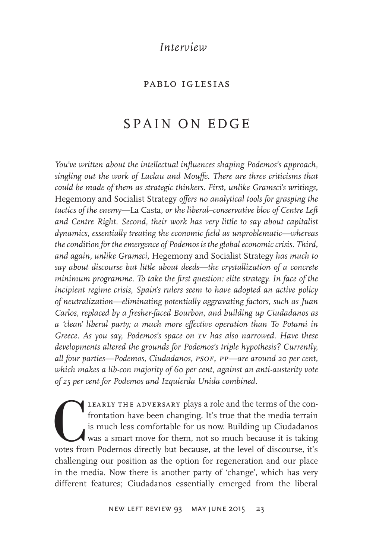# *Interview*

#### pablo iglesias

# SPAIN ON EDGE

*You've written about the intellectual influences shaping Podemos's approach, singling out the work of Laclau and Mouffe. There are three criticisms that could be made of them as strategic thinkers. First, unlike Gramsci's writings,*  Hegemony and Socialist Strategy *offers no analytical tools for grasping the tactics of the enemy—*La Casta*, or the liberal–conservative bloc of Centre Left and Centre Right. Second, their work has very little to say about capitalist dynamics, essentially treating the economic field as unproblematic—whereas the condition for the emergence of Podemos is the global economic crisis. Third, and again, unlike Gramsci,* Hegemony and Socialist Strategy *has much to say about discourse but little about deeds—the crystallization of a concrete minimum programme. To take the first question: elite strategy. In face of the incipient regime crisis, Spain's rulers seem to have adopted an active policy of neutralization—eliminating potentially aggravating factors, such as Juan Carlos, replaced by a fresher-faced Bourbon, and building up Ciudadanos as a 'clean' liberal party; a much more effective operation than To Potami in Greece. As you say, Podemos's space on tv has also narrowed. Have these developments altered the grounds for Podemos's triple hypothesis? Currently, all four parties—Podemos, Ciudadanos, psoe, pp—are around 20 per cent, which makes a lib-con majority of 60 per cent, against an anti-austerity vote of 25 per cent for Podemos and Izquierda Unida combined.*

LEARLY THE ADVERSARY plays a role and the terms of the con-<br>frontation have been changing. It's true that the media terrain<br>is much less comfortable for us now. Building up Ciudadanos<br>was a smart move for them, not so much frontation have been changing. It's true that the media terrain is much less comfortable for us now. Building up Ciudadanos was a smart move for them, not so much because it is taking votes from Podemos directly but because, at the level of discourse, it's challenging our position as the option for regeneration and our place in the media. Now there is another party of 'change', which has very different features; Ciudadanos essentially emerged from the liberal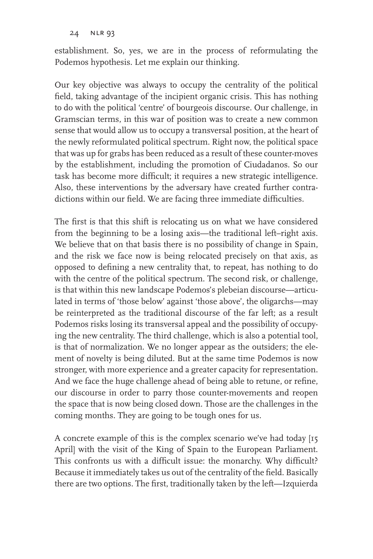establishment. So, yes, we are in the process of reformulating the Podemos hypothesis. Let me explain our thinking.

Our key objective was always to occupy the centrality of the political field, taking advantage of the incipient organic crisis. This has nothing to do with the political 'centre' of bourgeois discourse. Our challenge, in Gramscian terms, in this war of position was to create a new common sense that would allow us to occupy a transversal position, at the heart of the newly reformulated political spectrum. Right now, the political space that was up for grabs has been reduced as a result of these counter-moves by the establishment, including the promotion of Ciudadanos. So our task has become more difficult; it requires a new strategic intelligence. Also, these interventions by the adversary have created further contradictions within our field. We are facing three immediate difficulties.

The first is that this shift is relocating us on what we have considered from the beginning to be a losing axis—the traditional left–right axis. We believe that on that basis there is no possibility of change in Spain, and the risk we face now is being relocated precisely on that axis, as opposed to defining a new centrality that, to repeat, has nothing to do with the centre of the political spectrum. The second risk, or challenge, is that within this new landscape Podemos's plebeian discourse—articulated in terms of 'those below' against 'those above', the oligarchs—may be reinterpreted as the traditional discourse of the far left; as a result Podemos risks losing its transversal appeal and the possibility of occupying the new centrality. The third challenge, which is also a potential tool, is that of normalization. We no longer appear as the outsiders; the element of novelty is being diluted. But at the same time Podemos is now stronger, with more experience and a greater capacity for representation. And we face the huge challenge ahead of being able to retune, or refine, our discourse in order to parry those counter-movements and reopen the space that is now being closed down. Those are the challenges in the coming months. They are going to be tough ones for us.

A concrete example of this is the complex scenario we've had today [15 April] with the visit of the King of Spain to the European Parliament. This confronts us with a difficult issue: the monarchy. Why difficult? Because it immediately takes us out of the centrality of the field. Basically there are two options. The first, traditionally taken by the left—Izquierda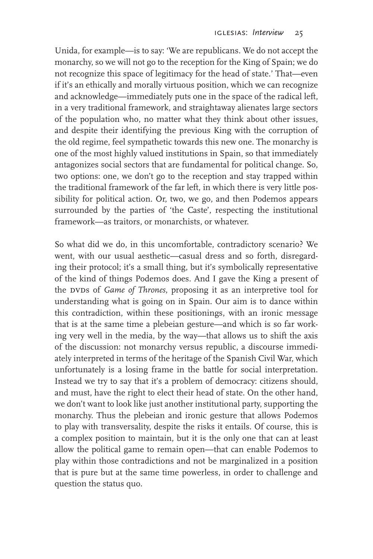Unida, for example—is to say: 'We are republicans. We do not accept the monarchy, so we will not go to the reception for the King of Spain; we do not recognize this space of legitimacy for the head of state.' That—even if it's an ethically and morally virtuous position, which we can recognize and acknowledge—immediately puts one in the space of the radical left, in a very traditional framework, and straightaway alienates large sectors of the population who, no matter what they think about other issues, and despite their identifying the previous King with the corruption of the old regime, feel sympathetic towards this new one. The monarchy is one of the most highly valued institutions in Spain, so that immediately antagonizes social sectors that are fundamental for political change. So, two options: one, we don't go to the reception and stay trapped within the traditional framework of the far left, in which there is very little possibility for political action. Or, two, we go, and then Podemos appears surrounded by the parties of 'the Caste', respecting the institutional framework—as traitors, or monarchists, or whatever.

So what did we do, in this uncomfortable, contradictory scenario? We went, with our usual aesthetic—casual dress and so forth, disregarding their protocol; it's a small thing, but it's symbolically representative of the kind of things Podemos does. And I gave the King a present of the DVDs of *Game of Thrones*, proposing it as an interpretive tool for understanding what is going on in Spain. Our aim is to dance within this contradiction, within these positionings, with an ironic message that is at the same time a plebeian gesture—and which is so far working very well in the media, by the way—that allows us to shift the axis of the discussion: not monarchy versus republic, a discourse immediately interpreted in terms of the heritage of the Spanish Civil War, which unfortunately is a losing frame in the battle for social interpretation. Instead we try to say that it's a problem of democracy: citizens should, and must, have the right to elect their head of state. On the other hand, we don't want to look like just another institutional party, supporting the monarchy. Thus the plebeian and ironic gesture that allows Podemos to play with transversality, despite the risks it entails. Of course, this is a complex position to maintain, but it is the only one that can at least allow the political game to remain open—that can enable Podemos to play within those contradictions and not be marginalized in a position that is pure but at the same time powerless, in order to challenge and question the status quo.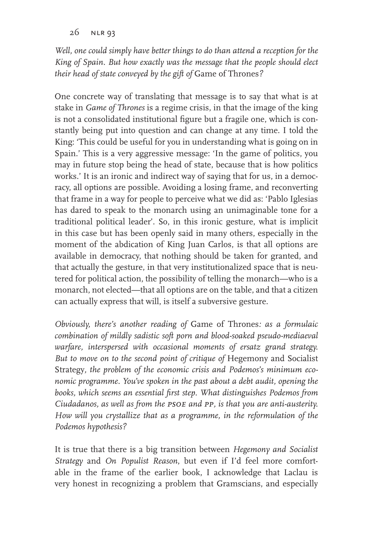*Well, one could simply have better things to do than attend a reception for the King of Spain. But how exactly was the message that the people should elect their head of state conveyed by the gift of* Game of Thrones*?*

One concrete way of translating that message is to say that what is at stake in *Game of Thrones* is a regime crisis, in that the image of the king is not a consolidated institutional figure but a fragile one, which is constantly being put into question and can change at any time. I told the King: 'This could be useful for you in understanding what is going on in Spain.' This is a very aggressive message: 'In the game of politics, you may in future stop being the head of state, because that is how politics works.' It is an ironic and indirect way of saying that for us, in a democracy, all options are possible. Avoiding a losing frame, and reconverting that frame in a way for people to perceive what we did as: 'Pablo Iglesias has dared to speak to the monarch using an unimaginable tone for a traditional political leader'. So, in this ironic gesture, what is implicit in this case but has been openly said in many others, especially in the moment of the abdication of King Juan Carlos, is that all options are available in democracy, that nothing should be taken for granted, and that actually the gesture, in that very institutionalized space that is neutered for political action, the possibility of telling the monarch—who is a monarch, not elected—that all options are on the table, and that a citizen can actually express that will, is itself a subversive gesture.

*Obviously, there's another reading of* Game of Thrones*: as a formulaic combination of mildly sadistic soft porn and blood-soaked pseudo-mediaeval warfare, interspersed with occasional moments of ersatz grand strategy. But to move on to the second point of critique of* Hegemony and Socialist Strategy*, the problem of the economic crisis and Podemos's minimum economic programme. You've spoken in the past about a debt audit, opening the books, which seems an essential first step. What distinguishes Podemos from Ciudadanos, as well as from the psoe and pp, is that you are anti-austerity. How will you crystallize that as a programme, in the reformulation of the Podemos hypothesis?*

It is true that there is a big transition between *Hegemony and Socialist Strategy* and *On Populist Reason*, but even if I'd feel more comfortable in the frame of the earlier book, I acknowledge that Laclau is very honest in recognizing a problem that Gramscians, and especially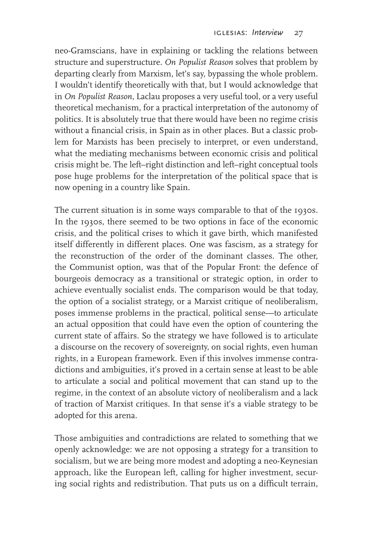neo-Gramscians, have in explaining or tackling the relations between structure and superstructure. *On Populist Reason* solves that problem by departing clearly from Marxism, let's say, bypassing the whole problem. I wouldn't identify theoretically with that, but I would acknowledge that in *On Populist Reason*, Laclau proposes a very useful tool, or a very useful theoretical mechanism, for a practical interpretation of the autonomy of politics. It is absolutely true that there would have been no regime crisis without a financial crisis, in Spain as in other places. But a classic problem for Marxists has been precisely to interpret, or even understand, what the mediating mechanisms between economic crisis and political crisis might be. The left–right distinction and left–right conceptual tools pose huge problems for the interpretation of the political space that is now opening in a country like Spain.

The current situation is in some ways comparable to that of the 1930s. In the 1930s, there seemed to be two options in face of the economic crisis, and the political crises to which it gave birth, which manifested itself differently in different places. One was fascism, as a strategy for the reconstruction of the order of the dominant classes. The other, the Communist option, was that of the Popular Front: the defence of bourgeois democracy as a transitional or strategic option, in order to achieve eventually socialist ends. The comparison would be that today, the option of a socialist strategy, or a Marxist critique of neoliberalism, poses immense problems in the practical, political sense—to articulate an actual opposition that could have even the option of countering the current state of affairs. So the strategy we have followed is to articulate a discourse on the recovery of sovereignty, on social rights, even human rights, in a European framework. Even if this involves immense contradictions and ambiguities, it's proved in a certain sense at least to be able to articulate a social and political movement that can stand up to the regime, in the context of an absolute victory of neoliberalism and a lack of traction of Marxist critiques. In that sense it's a viable strategy to be adopted for this arena.

Those ambiguities and contradictions are related to something that we openly acknowledge: we are not opposing a strategy for a transition to socialism, but we are being more modest and adopting a neo-Keynesian approach, like the European left, calling for higher investment, securing social rights and redistribution. That puts us on a difficult terrain,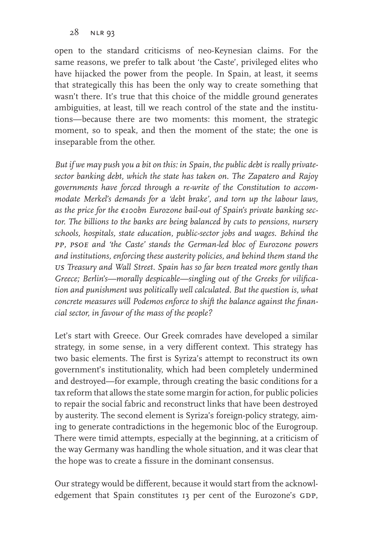open to the standard criticisms of neo-Keynesian claims. For the same reasons, we prefer to talk about 'the Caste', privileged elites who have hijacked the power from the people. In Spain, at least, it seems that strategically this has been the only way to create something that wasn't there. It's true that this choice of the middle ground generates ambiguities, at least, till we reach control of the state and the institutions—because there are two moments: this moment, the strategic moment, so to speak, and then the moment of the state; the one is inseparable from the other.

*But if we may push you a bit on this: in Spain, the public debt is really privatesector banking debt, which the state has taken on. The Zapatero and Rajoy governments have forced through a re-write of the Constitution to accommodate Merkel's demands for a 'debt brake', and torn up the labour laws, as the price for the €100bn Eurozone bail-out of Spain's private banking sector. The billions to the banks are being balanced by cuts to pensions, nursery schools, hospitals, state education, public-sector jobs and wages. Behind the pp, psoe and 'the Caste' stands the German-led bloc of Eurozone powers and institutions, enforcing these austerity policies, and behind them stand the us Treasury and Wall Street. Spain has so far been treated more gently than Greece; Berlin's—morally despicable—singling out of the Greeks for vilification and punishment was politically well calculated. But the question is, what concrete measures will Podemos enforce to shift the balance against the financial sector, in favour of the mass of the people?*

Let's start with Greece. Our Greek comrades have developed a similar strategy, in some sense, in a very different context. This strategy has two basic elements. The first is Syriza's attempt to reconstruct its own government's institutionality, which had been completely undermined and destroyed—for example, through creating the basic conditions for a tax reform that allows the state some margin for action, for public policies to repair the social fabric and reconstruct links that have been destroyed by austerity. The second element is Syriza's foreign-policy strategy, aiming to generate contradictions in the hegemonic bloc of the Eurogroup. There were timid attempts, especially at the beginning, at a criticism of the way Germany was handling the whole situation, and it was clear that the hope was to create a fissure in the dominant consensus.

Our strategy would be different, because it would start from the acknowledgement that Spain constitutes 13 per cent of the Eurozone's GDP,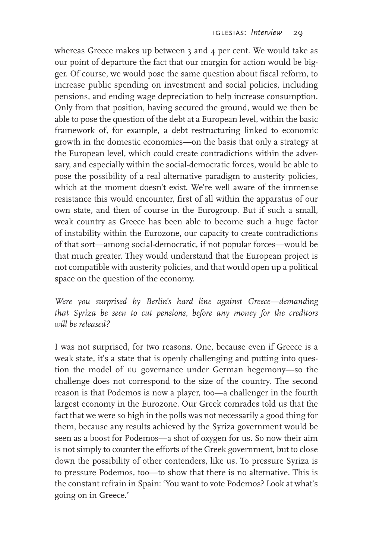whereas Greece makes up between 3 and 4 per cent. We would take as our point of departure the fact that our margin for action would be bigger. Of course, we would pose the same question about fiscal reform, to increase public spending on investment and social policies, including pensions, and ending wage depreciation to help increase consumption. Only from that position, having secured the ground, would we then be able to pose the question of the debt at a European level, within the basic framework of, for example, a debt restructuring linked to economic growth in the domestic economies—on the basis that only a strategy at the European level, which could create contradictions within the adversary, and especially within the social-democratic forces, would be able to pose the possibility of a real alternative paradigm to austerity policies, which at the moment doesn't exist. We're well aware of the immense resistance this would encounter, first of all within the apparatus of our own state, and then of course in the Eurogroup. But if such a small, weak country as Greece has been able to become such a huge factor of instability within the Eurozone, our capacity to create contradictions of that sort—among social-democratic, if not popular forces—would be that much greater. They would understand that the European project is not compatible with austerity policies, and that would open up a political space on the question of the economy.

*Were you surprised by Berlin's hard line against Greece—demanding that Syriza be seen to cut pensions, before any money for the creditors will be released?* 

I was not surprised, for two reasons. One, because even if Greece is a weak state, it's a state that is openly challenging and putting into question the model of eu governance under German hegemony—so the challenge does not correspond to the size of the country. The second reason is that Podemos is now a player, too—a challenger in the fourth largest economy in the Eurozone. Our Greek comrades told us that the fact that we were so high in the polls was not necessarily a good thing for them, because any results achieved by the Syriza government would be seen as a boost for Podemos—a shot of oxygen for us. So now their aim is not simply to counter the efforts of the Greek government, but to close down the possibility of other contenders, like us. To pressure Syriza is to pressure Podemos, too—to show that there is no alternative. This is the constant refrain in Spain: 'You want to vote Podemos? Look at what's going on in Greece.'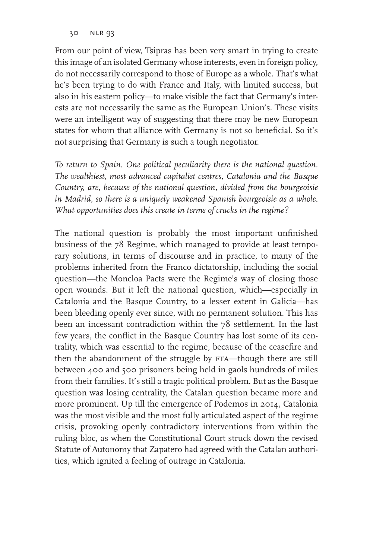From our point of view, Tsipras has been very smart in trying to create this image of an isolated Germany whose interests, even in foreign policy, do not necessarily correspond to those of Europe as a whole. That's what he's been trying to do with France and Italy, with limited success, but also in his eastern policy—to make visible the fact that Germany's interests are not necessarily the same as the European Union's. These visits were an intelligent way of suggesting that there may be new European states for whom that alliance with Germany is not so beneficial. So it's not surprising that Germany is such a tough negotiator.

*To return to Spain. One political peculiarity there is the national question. The wealthiest, most advanced capitalist centres, Catalonia and the Basque Country, are, because of the national question, divided from the bourgeoisie in Madrid, so there is a uniquely weakened Spanish bourgeoisie as a whole. What opportunities does this create in terms of cracks in the regime?*

The national question is probably the most important unfinished business of the 78 Regime, which managed to provide at least temporary solutions, in terms of discourse and in practice, to many of the problems inherited from the Franco dictatorship, including the social question—the Moncloa Pacts were the Regime's way of closing those open wounds. But it left the national question, which—especially in Catalonia and the Basque Country, to a lesser extent in Galicia—has been bleeding openly ever since, with no permanent solution. This has been an incessant contradiction within the 78 settlement. In the last few years, the conflict in the Basque Country has lost some of its centrality, which was essential to the regime, because of the ceasefire and then the abandonment of the struggle by  $ETA$ —though there are still between 400 and 500 prisoners being held in gaols hundreds of miles from their families. It's still a tragic political problem. But as the Basque question was losing centrality, the Catalan question became more and more prominent. Up till the emergence of Podemos in 2014, Catalonia was the most visible and the most fully articulated aspect of the regime crisis, provoking openly contradictory interventions from within the ruling bloc, as when the Constitutional Court struck down the revised Statute of Autonomy that Zapatero had agreed with the Catalan authorities, which ignited a feeling of outrage in Catalonia.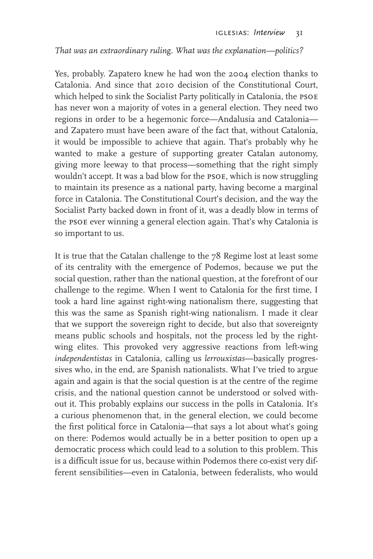#### *That was an extraordinary ruling. What was the explanation—politics?*

Yes, probably. Zapatero knew he had won the 2004 election thanks to Catalonia. And since that 2010 decision of the Constitutional Court, which helped to sink the Socialist Party politically in Catalonia, the psoe has never won a majority of votes in a general election. They need two regions in order to be a hegemonic force—Andalusia and Catalonia and Zapatero must have been aware of the fact that, without Catalonia, it would be impossible to achieve that again. That's probably why he wanted to make a gesture of supporting greater Catalan autonomy, giving more leeway to that process—something that the right simply wouldn't accept. It was a bad blow for the psoe, which is now struggling to maintain its presence as a national party, having become a marginal force in Catalonia. The Constitutional Court's decision, and the way the Socialist Party backed down in front of it, was a deadly blow in terms of the psoe ever winning a general election again. That's why Catalonia is so important to us.

It is true that the Catalan challenge to the 78 Regime lost at least some of its centrality with the emergence of Podemos, because we put the social question, rather than the national question, at the forefront of our challenge to the regime. When I went to Catalonia for the first time, I took a hard line against right-wing nationalism there, suggesting that this was the same as Spanish right-wing nationalism. I made it clear that we support the sovereign right to decide, but also that sovereignty means public schools and hospitals, not the process led by the rightwing elites. This provoked very aggressive reactions from left-wing *independentistas* in Catalonia, calling us *lerrouxistas*—basically progressives who, in the end, are Spanish nationalists. What I've tried to argue again and again is that the social question is at the centre of the regime crisis, and the national question cannot be understood or solved without it. This probably explains our success in the polls in Catalonia. It's a curious phenomenon that, in the general election, we could become the first political force in Catalonia—that says a lot about what's going on there: Podemos would actually be in a better position to open up a democratic process which could lead to a solution to this problem. This is a difficult issue for us, because within Podemos there co-exist very different sensibilities—even in Catalonia, between federalists, who would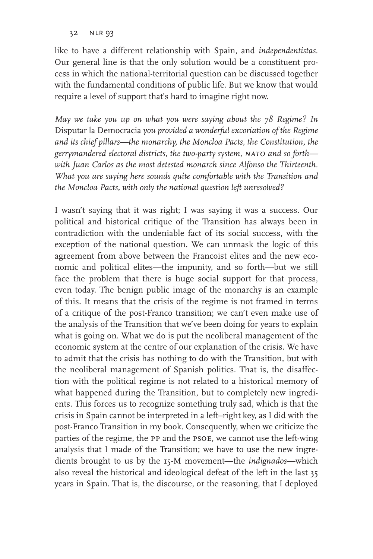like to have a different relationship with Spain, and *independentistas*. Our general line is that the only solution would be a constituent process in which the national-territorial question can be discussed together with the fundamental conditions of public life. But we know that would require a level of support that's hard to imagine right now.

*May we take you up on what you were saying about the 78 Regime? In*  Disputar la Democracia *you provided a wonderful excoriation of the Regime and its chief pillars—the monarchy, the Moncloa Pacts, the Constitution, the gerrymandered electoral districts, the two-party system, nato and so forth* with Juan Carlos as the most detested monarch since Alfonso the Thirteenth. *What you are saying here sounds quite comfortable with the Transition and the Moncloa Pacts, with only the national question left unresolved?*

I wasn't saying that it was right; I was saying it was a success. Our political and historical critique of the Transition has always been in contradiction with the undeniable fact of its social success, with the exception of the national question. We can unmask the logic of this agreement from above between the Francoist elites and the new economic and political elites—the impunity, and so forth—but we still face the problem that there is huge social support for that process, even today. The benign public image of the monarchy is an example of this. It means that the crisis of the regime is not framed in terms of a critique of the post-Franco transition; we can't even make use of the analysis of the Transition that we've been doing for years to explain what is going on. What we do is put the neoliberal management of the economic system at the centre of our explanation of the crisis. We have to admit that the crisis has nothing to do with the Transition, but with the neoliberal management of Spanish politics. That is, the disaffection with the political regime is not related to a historical memory of what happened during the Transition, but to completely new ingredients. This forces us to recognize something truly sad, which is that the crisis in Spain cannot be interpreted in a left–right key, as I did with the post-Franco Transition in my book. Consequently, when we criticize the parties of the regime, the pp and the psoe, we cannot use the left-wing analysis that I made of the Transition; we have to use the new ingredients brought to us by the 15-M movement—the *indignados*—which also reveal the historical and ideological defeat of the left in the last 35 years in Spain. That is, the discourse, or the reasoning, that I deployed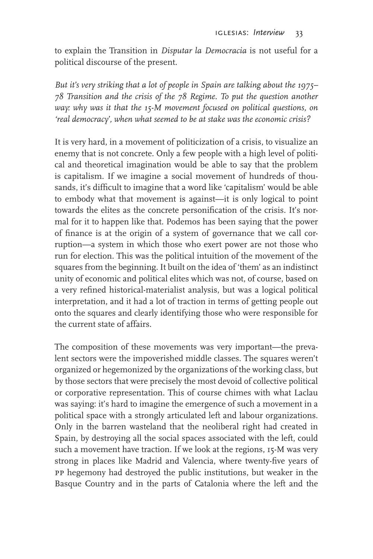to explain the Transition in *Disputar la Democracia* is not useful for a political discourse of the present.

*But it's very striking that a lot of people in Spain are talking about the 1975– 78 Transition and the crisis of the 78 Regime. To put the question another way: why was it that the 15-M movement focused on political questions, on 'real democracy', when what seemed to be at stake was the economic crisis?*

It is very hard, in a movement of politicization of a crisis, to visualize an enemy that is not concrete. Only a few people with a high level of political and theoretical imagination would be able to say that the problem is capitalism. If we imagine a social movement of hundreds of thousands, it's difficult to imagine that a word like 'capitalism' would be able to embody what that movement is against—it is only logical to point towards the elites as the concrete personification of the crisis. It's normal for it to happen like that. Podemos has been saying that the power of finance is at the origin of a system of governance that we call corruption—a system in which those who exert power are not those who run for election. This was the political intuition of the movement of the squares from the beginning. It built on the idea of 'them' as an indistinct unity of economic and political elites which was not, of course, based on a very refined historical-materialist analysis, but was a logical political interpretation, and it had a lot of traction in terms of getting people out onto the squares and clearly identifying those who were responsible for the current state of affairs.

The composition of these movements was very important—the prevalent sectors were the impoverished middle classes. The squares weren't organized or hegemonized by the organizations of the working class, but by those sectors that were precisely the most devoid of collective political or corporative representation. This of course chimes with what Laclau was saying: it's hard to imagine the emergence of such a movement in a political space with a strongly articulated left and labour organizations. Only in the barren wasteland that the neoliberal right had created in Spain, by destroying all the social spaces associated with the left, could such a movement have traction. If we look at the regions, 15-M was very strong in places like Madrid and Valencia, where twenty-five years of pp hegemony had destroyed the public institutions, but weaker in the Basque Country and in the parts of Catalonia where the left and the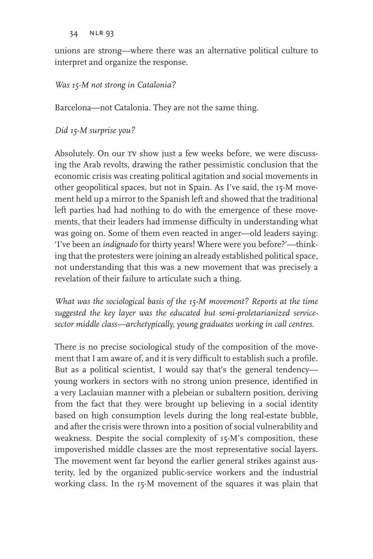unions are strong—where there was an alternative political culture to interpret and organize the response.

*Was 15-M not strong in Catalonia?*

Barcelona—not Catalonia. They are not the same thing.

*Did 15-M surprise you?*

Absolutely. On our TV show just a few weeks before, we were discussing the Arab revolts, drawing the rather pessimistic conclusion that the economic crisis was creating political agitation and social movements in other geopolitical spaces, but not in Spain. As I've said, the 15-M movement held up a mirror to the Spanish left and showed that the traditional left parties had had nothing to do with the emergence of these movements, that their leaders had immense difficulty in understanding what was going on. Some of them even reacted in anger—old leaders saying: 'I've been an *indignado* for thirty years! Where were you before?'—thinking that the protesters were joining an already established political space, not understanding that this was a new movement that was precisely a revelation of their failure to articulate such a thing.

*What was the sociological basis of the 15-M movement? Reports at the time suggested the key layer was the educated but semi-proletarianized servicesector middle class—archetypically, young graduates working in call centres.*

There is no precise sociological study of the composition of the movement that I am aware of, and it is very difficult to establish such a profile. But as a political scientist, I would say that's the general tendency young workers in sectors with no strong union presence, identified in a very Laclauian manner with a plebeian or subaltern position, deriving from the fact that they were brought up believing in a social identity based on high consumption levels during the long real-estate bubble, and after the crisis were thrown into a position of social vulnerability and weakness. Despite the social complexity of 15-M's composition, these impoverished middle classes are the most representative social layers. The movement went far beyond the earlier general strikes against austerity, led by the organized public-service workers and the industrial working class. In the 15-M movement of the squares it was plain that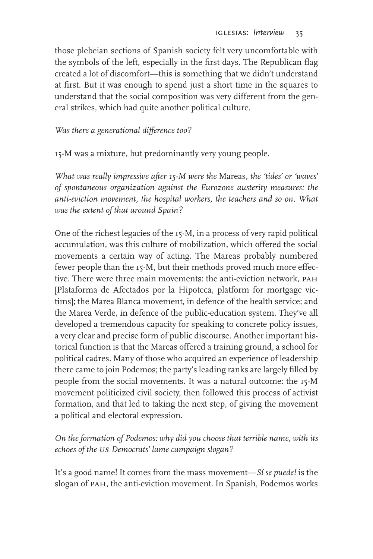those plebeian sections of Spanish society felt very uncomfortable with the symbols of the left, especially in the first days. The Republican flag created a lot of discomfort—this is something that we didn't understand at first. But it was enough to spend just a short time in the squares to understand that the social composition was very different from the general strikes, which had quite another political culture.

#### *Was there a generational difference too?*

15-M was a mixture, but predominantly very young people.

*What was really impressive after 15-M were the* Mareas*, the 'tides' or 'waves' of spontaneous organization against the Eurozone austerity measures: the anti-eviction movement, the hospital workers, the teachers and so on. What was the extent of that around Spain?*

One of the richest legacies of the 15-M, in a process of very rapid political accumulation, was this culture of mobilization, which offered the social movements a certain way of acting. The Mareas probably numbered fewer people than the 15-M, but their methods proved much more effective. There were three main movements: the anti-eviction network, PAH [Plataforma de Afectados por la Hipoteca, platform for mortgage victims]; the Marea Blanca movement, in defence of the health service; and the Marea Verde, in defence of the public-education system. They've all developed a tremendous capacity for speaking to concrete policy issues, a very clear and precise form of public discourse. Another important historical function is that the Mareas offered a training ground, a school for political cadres. Many of those who acquired an experience of leadership there came to join Podemos; the party's leading ranks are largely filled by people from the social movements. It was a natural outcome: the 15-M movement politicized civil society, then followed this process of activist formation, and that led to taking the next step, of giving the movement a political and electoral expression.

# *On the formation of Podemos: why did you choose that terrible name, with its echoes of the us Democrats' lame campaign slogan?*

It's a good name! It comes from the mass movement—*Sí se puede!* is the slogan of PAH, the anti-eviction movement. In Spanish, Podemos works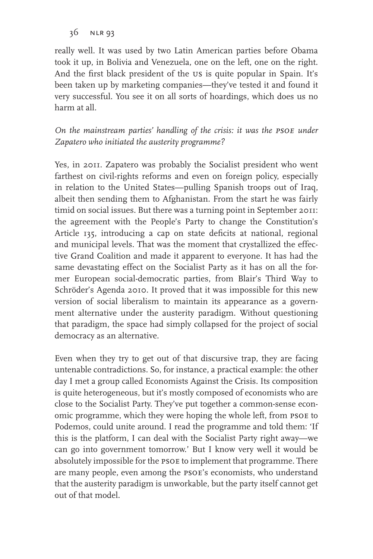really well. It was used by two Latin American parties before Obama took it up, in Bolivia and Venezuela, one on the left, one on the right. And the first black president of the us is quite popular in Spain. It's been taken up by marketing companies—they've tested it and found it very successful. You see it on all sorts of hoardings, which does us no harm at all.

*On the mainstream parties' handling of the crisis: it was the psoe under Zapatero who initiated the austerity programme?*

Yes, in 2011. Zapatero was probably the Socialist president who went farthest on civil-rights reforms and even on foreign policy, especially in relation to the United States—pulling Spanish troops out of Iraq, albeit then sending them to Afghanistan. From the start he was fairly timid on social issues. But there was a turning point in September 2011: the agreement with the People's Party to change the Constitution's Article 135, introducing a cap on state deficits at national, regional and municipal levels. That was the moment that crystallized the effective Grand Coalition and made it apparent to everyone. It has had the same devastating effect on the Socialist Party as it has on all the former European social-democratic parties, from Blair's Third Way to Schröder's Agenda 2010. It proved that it was impossible for this new version of social liberalism to maintain its appearance as a government alternative under the austerity paradigm. Without questioning that paradigm, the space had simply collapsed for the project of social democracy as an alternative.

Even when they try to get out of that discursive trap, they are facing untenable contradictions. So, for instance, a practical example: the other day I met a group called Economists Against the Crisis. Its composition is quite heterogeneous, but it's mostly composed of economists who are close to the Socialist Party. They've put together a common-sense economic programme, which they were hoping the whole left, from psoe to Podemos, could unite around. I read the programme and told them: 'If this is the platform, I can deal with the Socialist Party right away—we can go into government tomorrow.' But I know very well it would be absolutely impossible for the psoe to implement that programme. There are many people, even among the psoe's economists, who understand that the austerity paradigm is unworkable, but the party itself cannot get out of that model.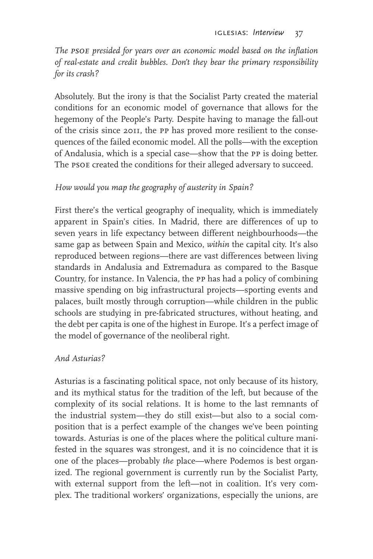*The psoe presided for years over an economic model based on the inflation of real-estate and credit bubbles. Don't they bear the primary responsibility for its crash?*

Absolutely. But the irony is that the Socialist Party created the material conditions for an economic model of governance that allows for the hegemony of the People's Party. Despite having to manage the fall-out of the crisis since 2011, the pp has proved more resilient to the consequences of the failed economic model. All the polls—with the exception of Andalusia, which is a special case—show that the pp is doing better. The psoe created the conditions for their alleged adversary to succeed.

### *How would you map the geography of austerity in Spain?*

First there's the vertical geography of inequality, which is immediately apparent in Spain's cities. In Madrid, there are differences of up to seven years in life expectancy between different neighbourhoods—the same gap as between Spain and Mexico, *within* the capital city. It's also reproduced between regions—there are vast differences between living standards in Andalusia and Extremadura as compared to the Basque Country, for instance. In Valencia, the pp has had a policy of combining massive spending on big infrastructural projects—sporting events and palaces, built mostly through corruption—while children in the public schools are studying in pre-fabricated structures, without heating, and the debt per capita is one of the highest in Europe. It's a perfect image of the model of governance of the neoliberal right.

#### *And Asturias?*

Asturias is a fascinating political space, not only because of its history, and its mythical status for the tradition of the left, but because of the complexity of its social relations. It is home to the last remnants of the industrial system—they do still exist—but also to a social composition that is a perfect example of the changes we've been pointing towards. Asturias is one of the places where the political culture manifested in the squares was strongest, and it is no coincidence that it is one of the places—probably *the* place—where Podemos is best organized. The regional government is currently run by the Socialist Party, with external support from the left—not in coalition. It's very complex. The traditional workers' organizations, especially the unions, are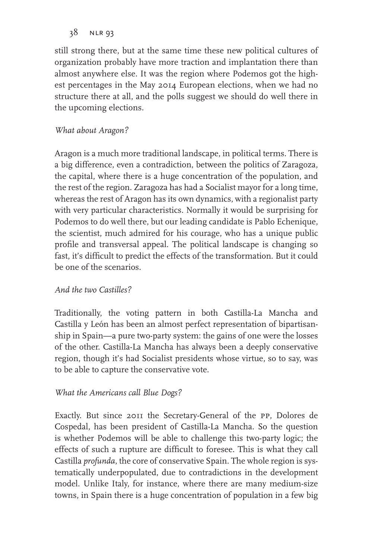still strong there, but at the same time these new political cultures of organization probably have more traction and implantation there than almost anywhere else. It was the region where Podemos got the highest percentages in the May 2014 European elections, when we had no structure there at all, and the polls suggest we should do well there in the upcoming elections.

### *What about Aragon?*

Aragon is a much more traditional landscape, in political terms. There is a big difference, even a contradiction, between the politics of Zaragoza, the capital, where there is a huge concentration of the population, and the rest of the region. Zaragoza has had a Socialist mayor for a long time, whereas the rest of Aragon has its own dynamics, with a regionalist party with very particular characteristics. Normally it would be surprising for Podemos to do well there, but our leading candidate is Pablo Echenique, the scientist, much admired for his courage, who has a unique public profile and transversal appeal. The political landscape is changing so fast, it's difficult to predict the effects of the transformation. But it could be one of the scenarios.

### *And the two Castilles?*

Traditionally, the voting pattern in both Castilla-La Mancha and Castilla y León has been an almost perfect representation of bipartisanship in Spain—a pure two-party system: the gains of one were the losses of the other. Castilla-La Mancha has always been a deeply conservative region, though it's had Socialist presidents whose virtue, so to say, was to be able to capture the conservative vote.

### *What the Americans call Blue Dogs?*

Exactly. But since 2011 the Secretary-General of the pp, Dolores de Cospedal, has been president of Castilla-La Mancha. So the question is whether Podemos will be able to challenge this two-party logic; the effects of such a rupture are difficult to foresee. This is what they call Castilla *profunda*, the core of conservative Spain. The whole region is systematically underpopulated, due to contradictions in the development model. Unlike Italy, for instance, where there are many medium-size towns, in Spain there is a huge concentration of population in a few big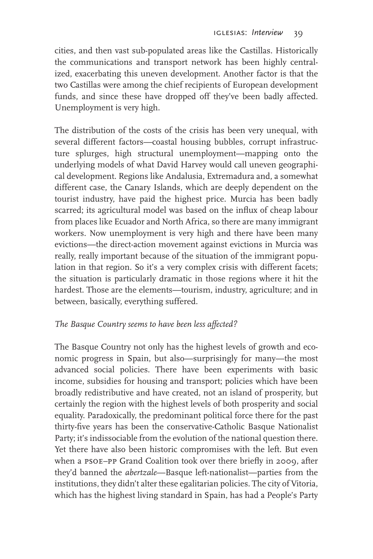cities, and then vast sub-populated areas like the Castillas. Historically the communications and transport network has been highly centralized, exacerbating this uneven development. Another factor is that the two Castillas were among the chief recipients of European development funds, and since these have dropped off they've been badly affected. Unemployment is very high.

The distribution of the costs of the crisis has been very unequal, with several different factors—coastal housing bubbles, corrupt infrastructure splurges, high structural unemployment—mapping onto the underlying models of what David Harvey would call uneven geographical development. Regions like Andalusia, Extremadura and, a somewhat different case, the Canary Islands, which are deeply dependent on the tourist industry, have paid the highest price. Murcia has been badly scarred; its agricultural model was based on the influx of cheap labour from places like Ecuador and North Africa, so there are many immigrant workers. Now unemployment is very high and there have been many evictions—the direct-action movement against evictions in Murcia was really, really important because of the situation of the immigrant population in that region. So it's a very complex crisis with different facets; the situation is particularly dramatic in those regions where it hit the hardest. Those are the elements—tourism, industry, agriculture; and in between, basically, everything suffered.

#### *The Basque Country seems to have been less affected?*

The Basque Country not only has the highest levels of growth and economic progress in Spain, but also—surprisingly for many—the most advanced social policies. There have been experiments with basic income, subsidies for housing and transport; policies which have been broadly redistributive and have created, not an island of prosperity, but certainly the region with the highest levels of both prosperity and social equality. Paradoxically, the predominant political force there for the past thirty-five years has been the conservative-Catholic Basque Nationalist Party; it's indissociable from the evolution of the national question there. Yet there have also been historic compromises with the left. But even when a psoe*–*pp Grand Coalition took over there briefly in 2009, after they'd banned the *abertzale*—Basque left-nationalist—parties from the institutions, they didn't alter these egalitarian policies. The city of Vitoria, which has the highest living standard in Spain, has had a People's Party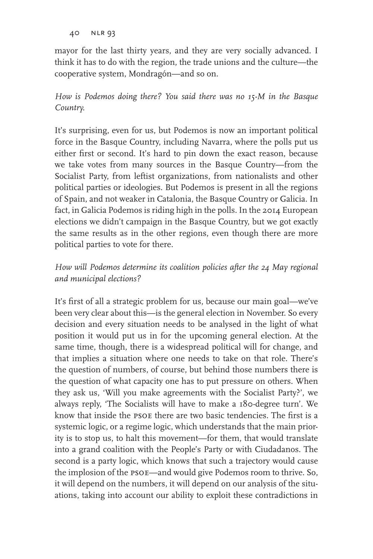mayor for the last thirty years, and they are very socially advanced. I think it has to do with the region, the trade unions and the culture—the cooperative system, Mondragón—and so on.

*How is Podemos doing there? You said there was no 15-M in the Basque Country.*

It's surprising, even for us, but Podemos is now an important political force in the Basque Country, including Navarra, where the polls put us either first or second. It's hard to pin down the exact reason, because we take votes from many sources in the Basque Country—from the Socialist Party, from leftist organizations, from nationalists and other political parties or ideologies. But Podemos is present in all the regions of Spain, and not weaker in Catalonia, the Basque Country or Galicia. In fact, in Galicia Podemos is riding high in the polls. In the 2014 European elections we didn't campaign in the Basque Country, but we got exactly the same results as in the other regions, even though there are more political parties to vote for there.

# *How will Podemos determine its coalition policies after the 24 May regional and municipal elections?*

It's first of all a strategic problem for us, because our main goal—we've been very clear about this—is the general election in November. So every decision and every situation needs to be analysed in the light of what position it would put us in for the upcoming general election. At the same time, though, there is a widespread political will for change, and that implies a situation where one needs to take on that role. There's the question of numbers, of course, but behind those numbers there is the question of what capacity one has to put pressure on others. When they ask us, 'Will you make agreements with the Socialist Party?', we always reply, 'The Socialists will have to make a 180-degree turn'. We know that inside the psoe there are two basic tendencies. The first is a systemic logic, or a regime logic, which understands that the main priority is to stop us, to halt this movement—for them, that would translate into a grand coalition with the People's Party or with Ciudadanos. The second is a party logic, which knows that such a trajectory would cause the implosion of the psoe—and would give Podemos room to thrive. So, it will depend on the numbers, it will depend on our analysis of the situations, taking into account our ability to exploit these contradictions in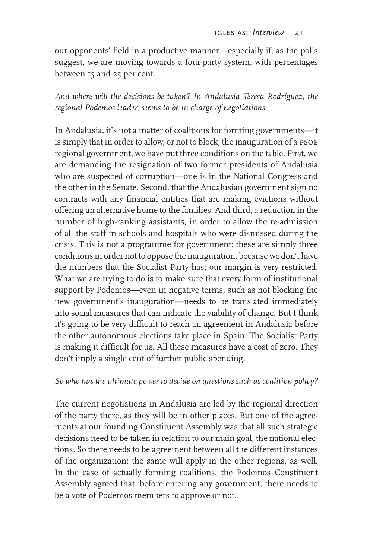our opponents' field in a productive manner—especially if, as the polls suggest, we are moving towards a four-party system, with percentages between 15 and 25 per cent.

*And where will the decisions be taken? In Andalusia Teresa Rodríguez, the regional Podemos leader, seems to be in charge of negotiations.* 

In Andalusia, it's not a matter of coalitions for forming governments—it is simply that in order to allow, or not to block, the inauguration of a psoe regional government, we have put three conditions on the table. First, we are demanding the resignation of two former presidents of Andalusia who are suspected of corruption—one is in the National Congress and the other in the Senate. Second, that the Andalusian government sign no contracts with any financial entities that are making evictions without offering an alternative home to the families. And third, a reduction in the number of high-ranking assistants, in order to allow the re-admission of all the staff in schools and hospitals who were dismissed during the crisis. This is not a programme for government: these are simply three conditions in order not to oppose the inauguration, because we don't have the numbers that the Socialist Party has; our margin is very restricted. What we are trying to do is to make sure that every form of institutional support by Podemos—even in negative terms, such as not blocking the new government's inauguration—needs to be translated immediately into social measures that can indicate the viability of change. But I think it's going to be very difficult to reach an agreement in Andalusia before the other autonomous elections take place in Spain. The Socialist Party is making it difficult for us. All these measures have a cost of zero. They don't imply a single cent of further public spending.

#### *So who has the ultimate power to decide on questions such as coalition policy?*

The current negotiations in Andalusia are led by the regional direction of the party there, as they will be in other places. But one of the agreements at our founding Constituent Assembly was that all such strategic decisions need to be taken in relation to our main goal, the national elections. So there needs to be agreement between all the different instances of the organization; the same will apply in the other regions, as well. In the case of actually forming coalitions, the Podemos Constituent Assembly agreed that, before entering any government, there needs to be a vote of Podemos members to approve or not.